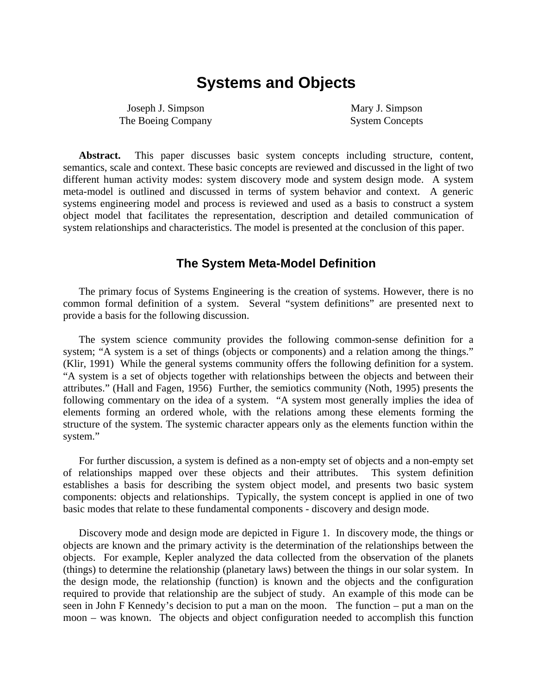# **Systems and Objects**

Joseph J. Simpson The Boeing Company

Mary J. Simpson System Concepts

**Abstract.** This paper discusses basic system concepts including structure, content, semantics, scale and context. These basic concepts are reviewed and discussed in the light of two different human activity modes: system discovery mode and system design mode. A system meta-model is outlined and discussed in terms of system behavior and context. A generic systems engineering model and process is reviewed and used as a basis to construct a system object model that facilitates the representation, description and detailed communication of system relationships and characteristics. The model is presented at the conclusion of this paper.

### **The System Meta-Model Definition**

The primary focus of Systems Engineering is the creation of systems. However, there is no common formal definition of a system. Several "system definitions" are presented next to provide a basis for the following discussion.

The system science community provides the following common-sense definition for a system; "A system is a set of things (objects or components) and a relation among the things." (Klir, 1991) While the general systems community offers the following definition for a system. "A system is a set of objects together with relationships between the objects and between their attributes." (Hall and Fagen, 1956) Further, the semiotics community (Noth, 1995) presents the following commentary on the idea of a system. "A system most generally implies the idea of elements forming an ordered whole, with the relations among these elements forming the structure of the system. The systemic character appears only as the elements function within the system."

For further discussion, a system is defined as a non-empty set of objects and a non-empty set of relationships mapped over these objects and their attributes. This system definition establishes a basis for describing the system object model, and presents two basic system components: objects and relationships. Typically, the system concept is applied in one of two basic modes that relate to these fundamental components - discovery and design mode.

Discovery mode and design mode are depicted in Figure 1. In discovery mode, the things or objects are known and the primary activity is the determination of the relationships between the objects. For example, Kepler analyzed the data collected from the observation of the planets (things) to determine the relationship (planetary laws) between the things in our solar system. In the design mode, the relationship (function) is known and the objects and the configuration required to provide that relationship are the subject of study. An example of this mode can be seen in John F Kennedy's decision to put a man on the moon. The function – put a man on the moon – was known. The objects and object configuration needed to accomplish this function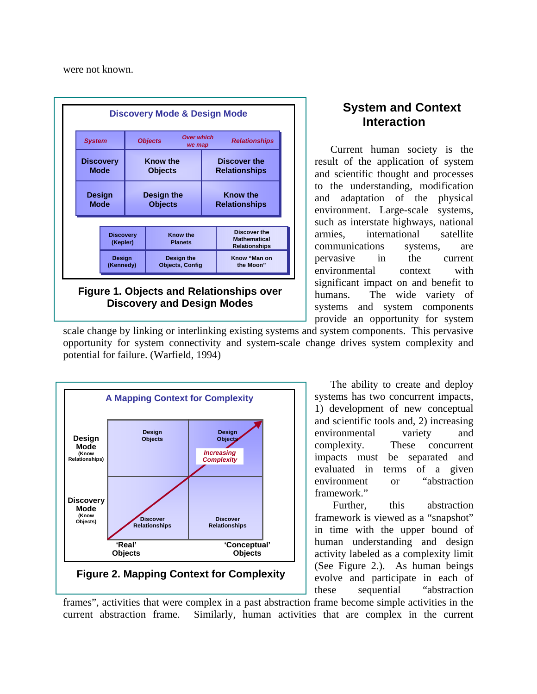were not known.



# **System and Context Interaction**

Current human society is the result of the application of system and scientific thought and processes to the understanding, modification and adaptation of the physical environment. Large-scale systems, such as interstate highways, national armies, international satellite communications systems, are pervasive in the current environmental context with significant impact on and benefit to humans. The wide variety of systems and system components provide an opportunity for system

scale change by linking or interlinking existing systems and system components. This pervasive opportunity for system connectivity and system-scale change drives system complexity and potential for failure. (Warfield, 1994)



The ability to create and deploy systems has two concurrent impacts, 1) development of new conceptual and scientific tools and, 2) increasing environmental variety and complexity. These concurrent impacts must be separated and evaluated in terms of a given environment or "abstraction framework."

Further, this abstraction framework is viewed as a "snapshot" in time with the upper bound of human understanding and design activity labeled as a complexity limit (See Figure 2.). As human beings evolve and participate in each of these sequential "abstraction

frames", activities that were complex in a past abstraction frame become simple activities in the current abstraction frame. Similarly, human activities that are complex in the current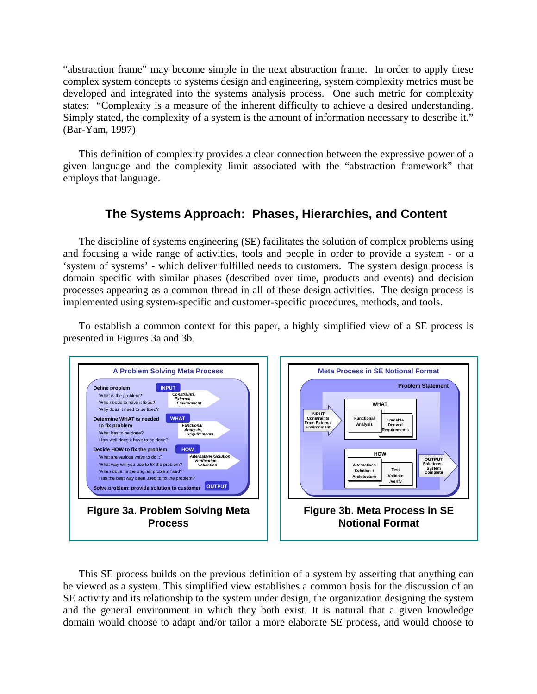"abstraction frame" may become simple in the next abstraction frame. In order to apply these complex system concepts to systems design and engineering, system complexity metrics must be developed and integrated into the systems analysis process. One such metric for complexity states: "Complexity is a measure of the inherent difficulty to achieve a desired understanding. Simply stated, the complexity of a system is the amount of information necessary to describe it." (Bar-Yam, 1997)

This definition of complexity provides a clear connection between the expressive power of a given language and the complexity limit associated with the "abstraction framework" that employs that language.

## **The Systems Approach: Phases, Hierarchies, and Content**

The discipline of systems engineering (SE) facilitates the solution of complex problems using and focusing a wide range of activities, tools and people in order to provide a system - or a 'system of systems' - which deliver fulfilled needs to customers. The system design process is domain specific with similar phases (described over time, products and events) and decision processes appearing as a common thread in all of these design activities. The design process is implemented using system-specific and customer-specific procedures, methods, and tools.

To establish a common context for this paper, a highly simplified view of a SE process is presented in Figures 3a and 3b.



This SE process builds on the previous definition of a system by asserting that anything can be viewed as a system. This simplified view establishes a common basis for the discussion of an SE activity and its relationship to the system under design, the organization designing the system and the general environment in which they both exist. It is natural that a given knowledge domain would choose to adapt and/or tailor a more elaborate SE process, and would choose to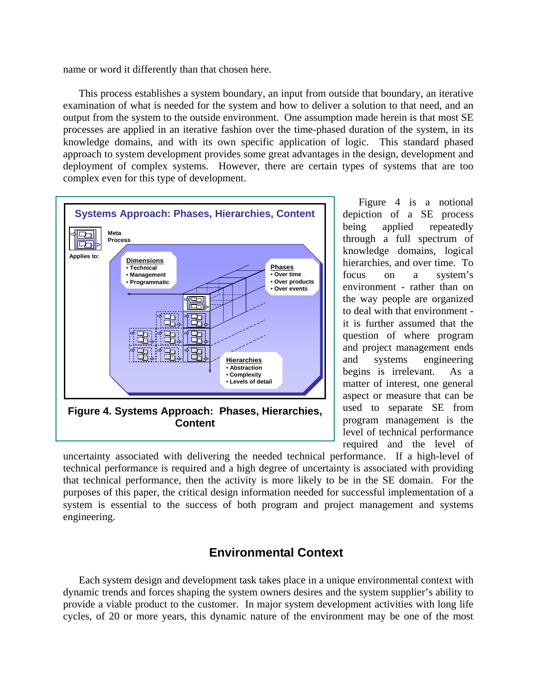name or word it differently than that chosen here.

This process establishes a system boundary, an input from outside that boundary, an iterative examination of what is needed for the system and how to deliver a solution to that need, and an output from the system to the outside environment. One assumption made herein is that most SE processes are applied in an iterative fashion over the time-phased duration of the system, in its knowledge domains, and with its own specific application of logic. This standard phased approach to system development provides some great advantages in the design, development and deployment of complex systems. However, there are certain types of systems that are too complex even for this type of development.



Figure 4 is a notional depiction of a SE process being applied repeatedly through a full spectrum of knowledge domains, logical hierarchies, and over time. To focus on a system's environment - rather than on the way people are organized to deal with that environment it is further assumed that the question of where program and project management ends and systems engineering begins is irrelevant. As a matter of interest, one general aspect or measure that can be used to separate SE from program management is the level of technical performance required and the level of

uncertainty associated with delivering the needed technical performance. If a high-level of technical performance is required and a high degree of uncertainty is associated with providing that technical performance, then the activity is more likely to be in the SE domain. For the purposes of this paper, the critical design information needed for successful implementation of a system is essential to the success of both program and project management and systems engineering.

## **Environmental Context**

Each system design and development task takes place in a unique environmental context with dynamic trends and forces shaping the system owners desires and the system supplier's ability to provide a viable product to the customer. In major system development activities with long life cycles, of 20 or more years, this dynamic nature of the environment may be one of the most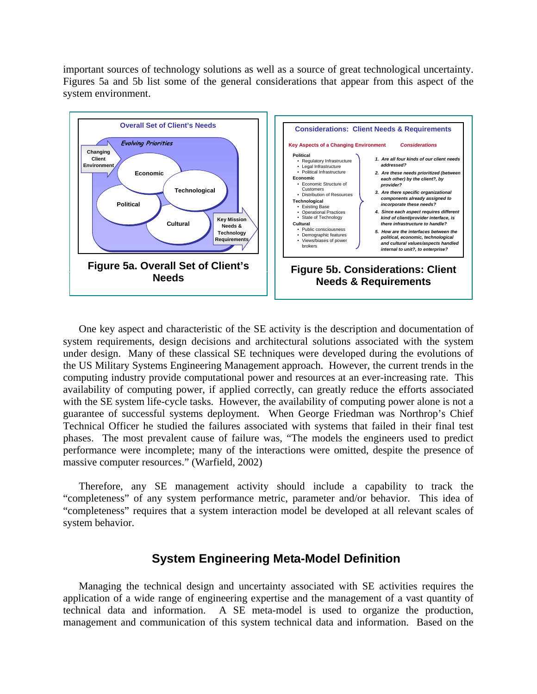important sources of technology solutions as well as a source of great technological uncertainty. Figures 5a and 5b list some of the general considerations that appear from this aspect of the system environment.



One key aspect and characteristic of the SE activity is the description and documentation of system requirements, design decisions and architectural solutions associated with the system under design. Many of these classical SE techniques were developed during the evolutions of the US Military Systems Engineering Management approach. However, the current trends in the computing industry provide computational power and resources at an ever-increasing rate. This availability of computing power, if applied correctly, can greatly reduce the efforts associated with the SE system life-cycle tasks. However, the availability of computing power alone is not a guarantee of successful systems deployment. When George Friedman was Northrop's Chief Technical Officer he studied the failures associated with systems that failed in their final test phases. The most prevalent cause of failure was, "The models the engineers used to predict performance were incomplete; many of the interactions were omitted, despite the presence of massive computer resources." (Warfield, 2002)

Therefore, any SE management activity should include a capability to track the "completeness" of any system performance metric, parameter and/or behavior. This idea of "completeness" requires that a system interaction model be developed at all relevant scales of system behavior.

### **System Engineering Meta-Model Definition**

Managing the technical design and uncertainty associated with SE activities requires the application of a wide range of engineering expertise and the management of a vast quantity of technical data and information. A SE meta-model is used to organize the production, management and communication of this system technical data and information. Based on the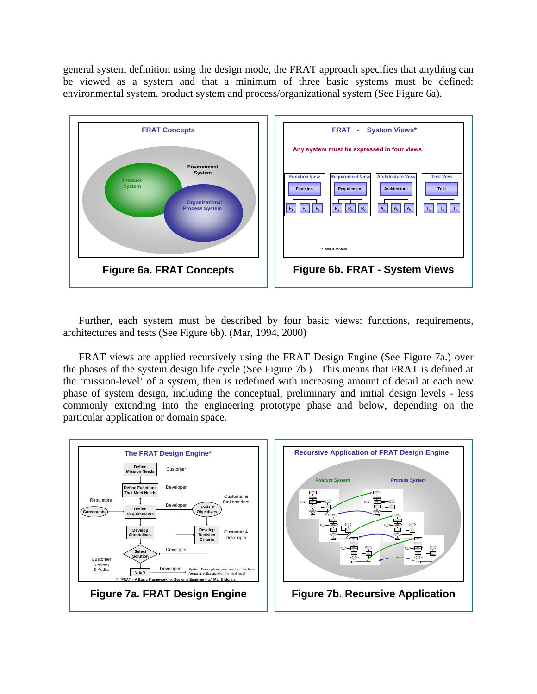general system definition using the design mode, the FRAT approach specifies that anything can be viewed as a system and that a minimum of three basic systems must be defined: environmental system, product system and process/organizational system (See Figure 6a).



Further, each system must be described by four basic views: functions, requirements, architectures and tests (See Figure 6b). (Mar, 1994, 2000)

FRAT views are applied recursively using the FRAT Design Engine (See Figure 7a.) over the phases of the system design life cycle (See Figure 7b.). This means that FRAT is defined at the 'mission-level' of a system, then is redefined with increasing amount of detail at each new phase of system design, including the conceptual, preliminary and initial design levels - less commonly extending into the engineering prototype phase and below, depending on the particular application or domain space.

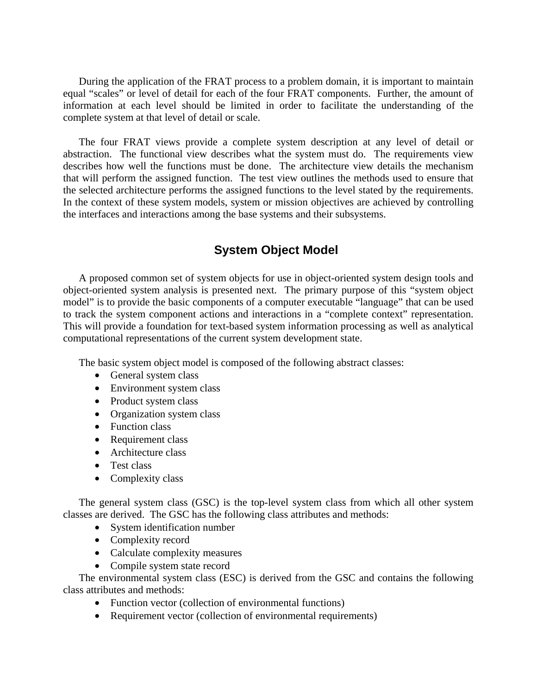During the application of the FRAT process to a problem domain, it is important to maintain equal "scales" or level of detail for each of the four FRAT components. Further, the amount of information at each level should be limited in order to facilitate the understanding of the complete system at that level of detail or scale.

The four FRAT views provide a complete system description at any level of detail or abstraction. The functional view describes what the system must do. The requirements view describes how well the functions must be done. The architecture view details the mechanism that will perform the assigned function. The test view outlines the methods used to ensure that the selected architecture performs the assigned functions to the level stated by the requirements. In the context of these system models, system or mission objectives are achieved by controlling the interfaces and interactions among the base systems and their subsystems.

## **System Object Model**

A proposed common set of system objects for use in object-oriented system design tools and object-oriented system analysis is presented next. The primary purpose of this "system object model" is to provide the basic components of a computer executable "language" that can be used to track the system component actions and interactions in a "complete context" representation. This will provide a foundation for text-based system information processing as well as analytical computational representations of the current system development state.

The basic system object model is composed of the following abstract classes:

- General system class
- Environment system class
- Product system class
- Organization system class
- Function class
- Requirement class
- Architecture class
- Test class
- Complexity class

The general system class (GSC) is the top-level system class from which all other system classes are derived. The GSC has the following class attributes and methods:

- System identification number
- Complexity record
- Calculate complexity measures
- Compile system state record

The environmental system class (ESC) is derived from the GSC and contains the following class attributes and methods:

- Function vector (collection of environmental functions)
- Requirement vector (collection of environmental requirements)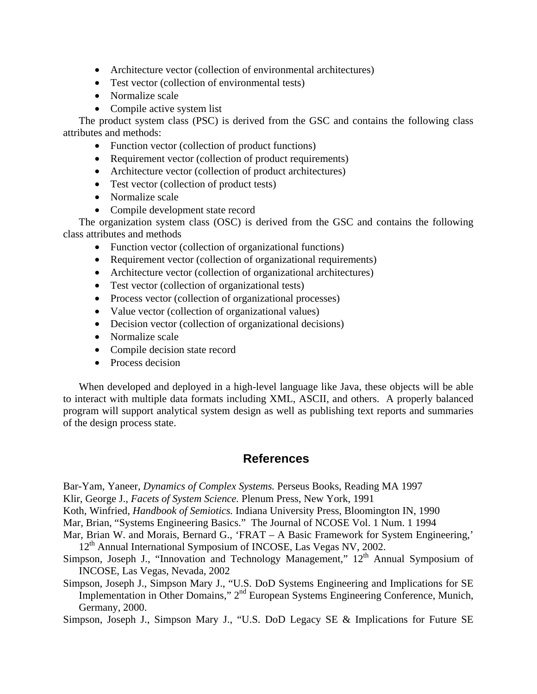- Architecture vector (collection of environmental architectures)
- Test vector (collection of environmental tests)
- Normalize scale
- Compile active system list

The product system class (PSC) is derived from the GSC and contains the following class attributes and methods:

- Function vector (collection of product functions)
- Requirement vector (collection of product requirements)
- Architecture vector (collection of product architectures)
- Test vector (collection of product tests)
- Normalize scale
- Compile development state record

The organization system class (OSC) is derived from the GSC and contains the following class attributes and methods

- Function vector (collection of organizational functions)
- Requirement vector (collection of organizational requirements)
- Architecture vector (collection of organizational architectures)
- Test vector (collection of organizational tests)
- Process vector (collection of organizational processes)
- Value vector (collection of organizational values)
- Decision vector (collection of organizational decisions)
- Normalize scale
- Compile decision state record
- Process decision

When developed and deployed in a high-level language like Java, these objects will be able to interact with multiple data formats including XML, ASCII, and others. A properly balanced program will support analytical system design as well as publishing text reports and summaries of the design process state.

### **References**

Bar-Yam, Yaneer, *Dynamics of Complex Systems.* Perseus Books, Reading MA 1997

Klir, George J., *Facets of System Science.* Plenum Press, New York, 1991

Koth, Winfried, *Handbook of Semiotics.* Indiana University Press, Bloomington IN, 1990

Mar, Brian, "Systems Engineering Basics." The Journal of NCOSE Vol. 1 Num. 1 1994

- Mar, Brian W. and Morais, Bernard G., 'FRAT A Basic Framework for System Engineering,' 12<sup>th</sup> Annual International Symposium of INCOSE, Las Vegas NV, 2002.
- Simpson, Joseph J., "Innovation and Technology Management,"  $12<sup>th</sup>$  Annual Symposium of INCOSE, Las Vegas, Nevada, 2002
- Simpson, Joseph J., Simpson Mary J., "U.S. DoD Systems Engineering and Implications for SE Implementation in Other Domains," 2<sup>nd</sup> European Systems Engineering Conference, Munich, Germany, 2000.

Simpson, Joseph J., Simpson Mary J., "U.S. DoD Legacy SE & Implications for Future SE